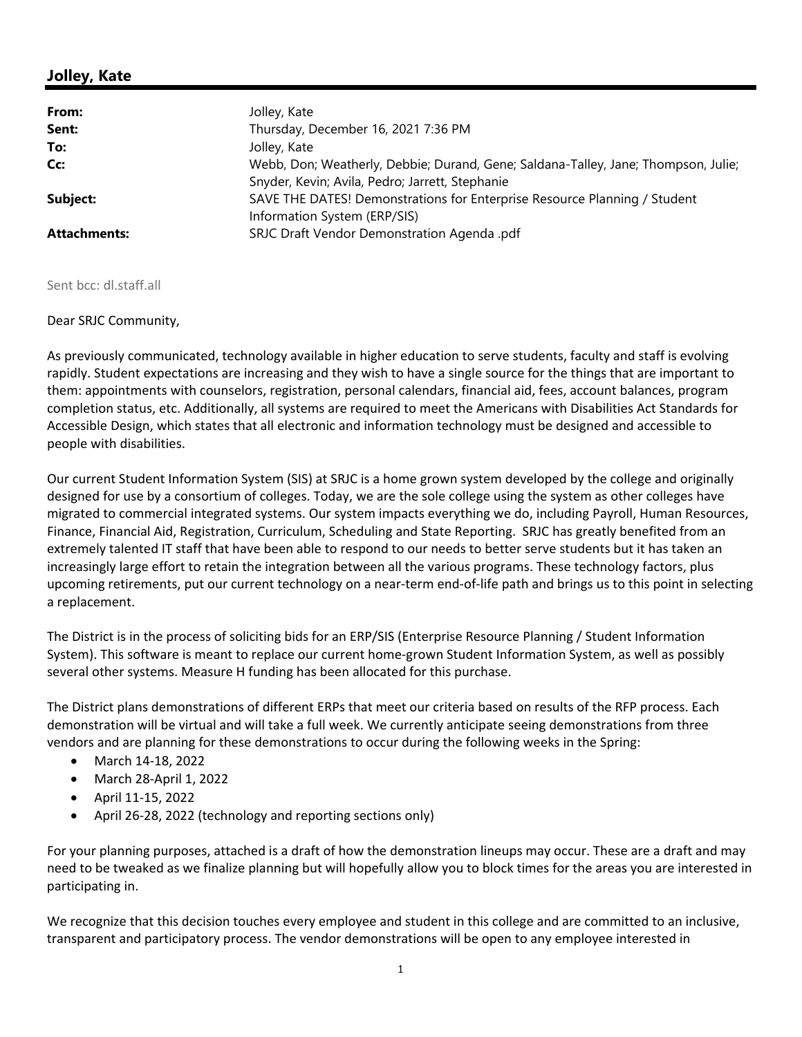# **Jolley, Kate**

| Webb, Don; Weatherly, Debbie; Durand, Gene; Saldana-Talley, Jane; Thompson, Julie; |
|------------------------------------------------------------------------------------|
|                                                                                    |
| SAVE THE DATES! Demonstrations for Enterprise Resource Planning / Student          |
|                                                                                    |
|                                                                                    |
|                                                                                    |

Sent bcc: dl.staff.all

## Dear SRJC Community,

As previously communicated, technology available in higher education to serve students, faculty and staff is evolving rapidly. Student expectations are increasing and they wish to have a single source for the things that are important to them: appointments with counselors, registration, personal calendars, financial aid, fees, account balances, program completion status, etc. Additionally, all systems are required to meet the Americans with Disabilities Act Standards for Accessible Design, which states that all electronic and information technology must be designed and accessible to people with disabilities.

Our current Student Information System (SIS) at SRJC is a home grown system developed by the college and originally designed for use by a consortium of colleges. Today, we are the sole college using the system as other colleges have migrated to commercial integrated systems. Our system impacts everything we do, including Payroll, Human Resources, Finance, Financial Aid, Registration, Curriculum, Scheduling and State Reporting. SRJC has greatly benefited from an extremely talented IT staff that have been able to respond to our needs to better serve students but it has taken an increasingly large effort to retain the integration between all the various programs. These technology factors, plus upcoming retirements, put our current technology on a near-term end-of-life path and brings us to this point in selecting a replacement.

The District is in the process of soliciting bids for an ERP/SIS (Enterprise Resource Planning / Student Information System). This software is meant to replace our current home‐grown Student Information System, as well as possibly several other systems. Measure H funding has been allocated for this purchase.

The District plans demonstrations of different ERPs that meet our criteria based on results of the RFP process. Each demonstration will be virtual and will take a full week. We currently anticipate seeing demonstrations from three vendors and are planning for these demonstrations to occur during the following weeks in the Spring:

- March 14-18, 2022
- March 28-April 1, 2022
- April 11‐15, 2022
- April 26-28, 2022 (technology and reporting sections only)

For your planning purposes, attached is a draft of how the demonstration lineups may occur. These are a draft and may need to be tweaked as we finalize planning but will hopefully allow you to block times for the areas you are interested in participating in.

We recognize that this decision touches every employee and student in this college and are committed to an inclusive, transparent and participatory process. The vendor demonstrations will be open to any employee interested in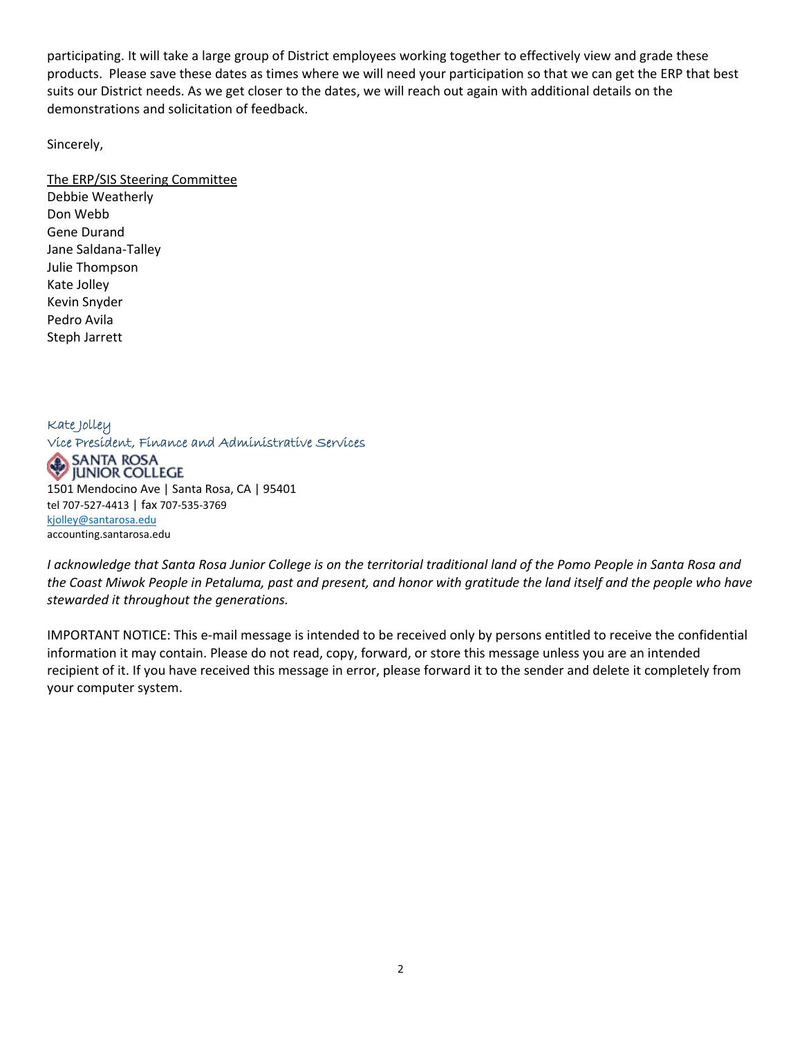participating. It will take a large group of District employees working together to effectively view and grade these products. Please save these dates as times where we will need your participation so that we can get the ERP that best suits our District needs. As we get closer to the dates, we will reach out again with additional details on the demonstrations and solicitation of feedback.

Sincerely,

The ERP/SIS Steering Committee Debbie Weatherly Don Webb Gene Durand Jane Saldana‐Talley Julie Thompson Kate Jolley Kevin Snyder Pedro Avila Steph Jarrett

Kate Jolley Vice President, Finance and Administrative Services **SANTA ROSA** SANIA ROSA<br>
JUNIOR COLLEGE<br>
1501 Mendocino Ave | Santa Rosa, CA | 95401 tel 707‐527‐4413 | fax 707‐535‐3769 [kjolley@santarosa.edu](mailto:kjolley@santarosa.edu) [accounting.santarosa.edu](https://accounting.santarosa.edu)

I acknowledge that Santa Rosa Junior College is on the territorial traditional land of the Pomo People in Santa Rosa and the Coast Miwok People in Petaluma, past and present, and honor with gratitude the land itself and the people who have *stewarded it throughout the generations.*

IMPORTANT NOTICE: This e‐mail message is intended to be received only by persons entitled to receive the confidential information it may contain. Please do not read, copy, forward, or store this message unless you are an intended recipient of it. If you have received this message in error, please forward it to the sender and delete it completely from your computer system.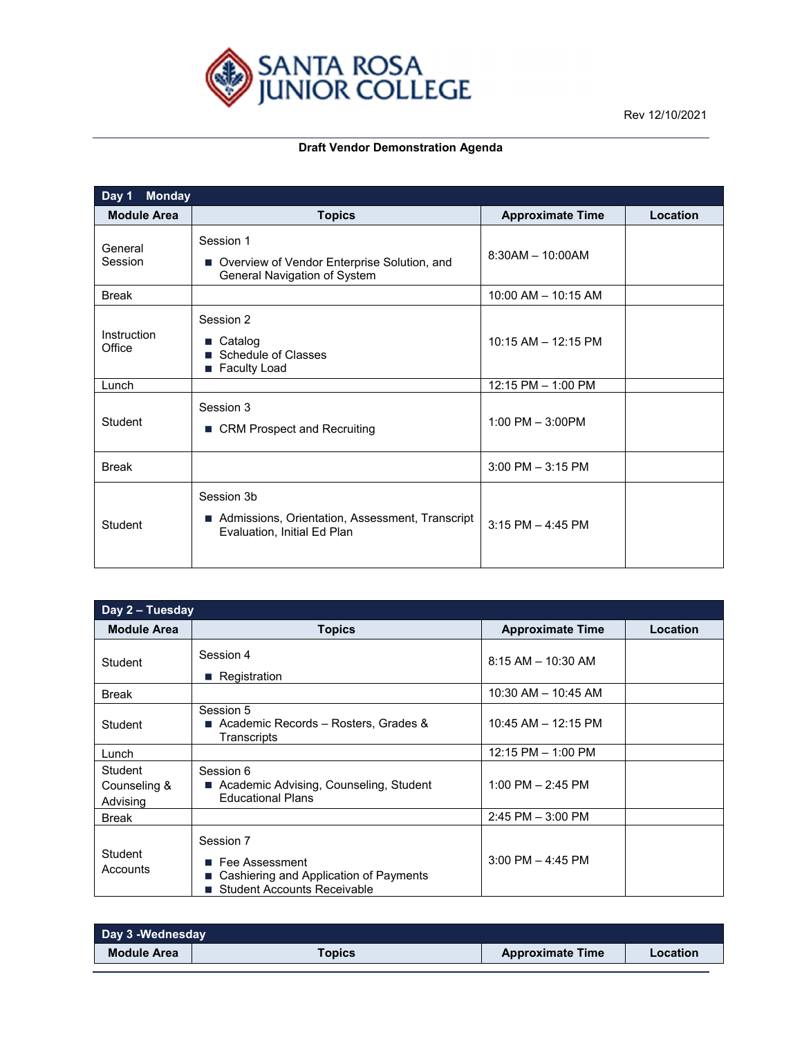

Rev 12/10/2021

### **Draft Vendor Demonstration Agenda**

| Day 1<br><b>Monday</b> |                                                                                                |                         |          |
|------------------------|------------------------------------------------------------------------------------------------|-------------------------|----------|
| <b>Module Area</b>     | <b>Topics</b>                                                                                  | <b>Approximate Time</b> | Location |
| General<br>Session     | Session 1<br>■ Overview of Vendor Enterprise Solution, and<br>General Navigation of System     | $8:30AM - 10:00AM$      |          |
| <b>Break</b>           |                                                                                                | $10:00$ AM $- 10:15$ AM |          |
| Instruction<br>Office  | Session 2<br>■ Catalog<br>Schedule of Classes<br>T.<br>■ Faculty Load                          | $10:15$ AM $-$ 12:15 PM |          |
| Lunch                  |                                                                                                | 12:15 PM - 1:00 PM      |          |
| Student                | Session 3<br>■ CRM Prospect and Recruiting                                                     | 1:00 PM $-$ 3:00PM      |          |
| <b>Break</b>           |                                                                                                | $3:00$ PM $-3:15$ PM    |          |
| Student                | Session 3b<br>■ Admissions, Orientation, Assessment, Transcript<br>Evaluation, Initial Ed Plan | $3:15$ PM $-$ 4:45 PM   |          |

| Day 2 - Tuesday                     |                                                                                                               |                         |          |
|-------------------------------------|---------------------------------------------------------------------------------------------------------------|-------------------------|----------|
| <b>Module Area</b>                  | <b>Topics</b>                                                                                                 | <b>Approximate Time</b> | Location |
| Student                             | Session 4<br>■ Registration                                                                                   | $8:15$ AM $-$ 10:30 AM  |          |
| <b>Break</b>                        |                                                                                                               | $10:30$ AM $- 10:45$ AM |          |
| Student                             | Session 5<br>■ Academic Records – Rosters, Grades &<br>Transcripts                                            | $10:45$ AM $- 12:15$ PM |          |
| Lunch                               |                                                                                                               | $12:15$ PM $- 1:00$ PM  |          |
| Student<br>Counseling &<br>Advising | Session 6<br>■ Academic Advising, Counseling, Student<br><b>Educational Plans</b>                             | 1:00 PM $-$ 2:45 PM     |          |
| <b>Break</b>                        |                                                                                                               | $2:45$ PM $-3:00$ PM    |          |
| Student<br>Accounts                 | Session 7<br>■ Fee Assessment<br>Cashiering and Application of Payments<br><b>Student Accounts Receivable</b> | $3:00$ PM $-$ 4:45 PM   |          |

| Day 3 -Wednesday   |        |                         |          |
|--------------------|--------|-------------------------|----------|
| <b>Module Area</b> | Topics | <b>Approximate Time</b> | Location |
|                    |        |                         |          |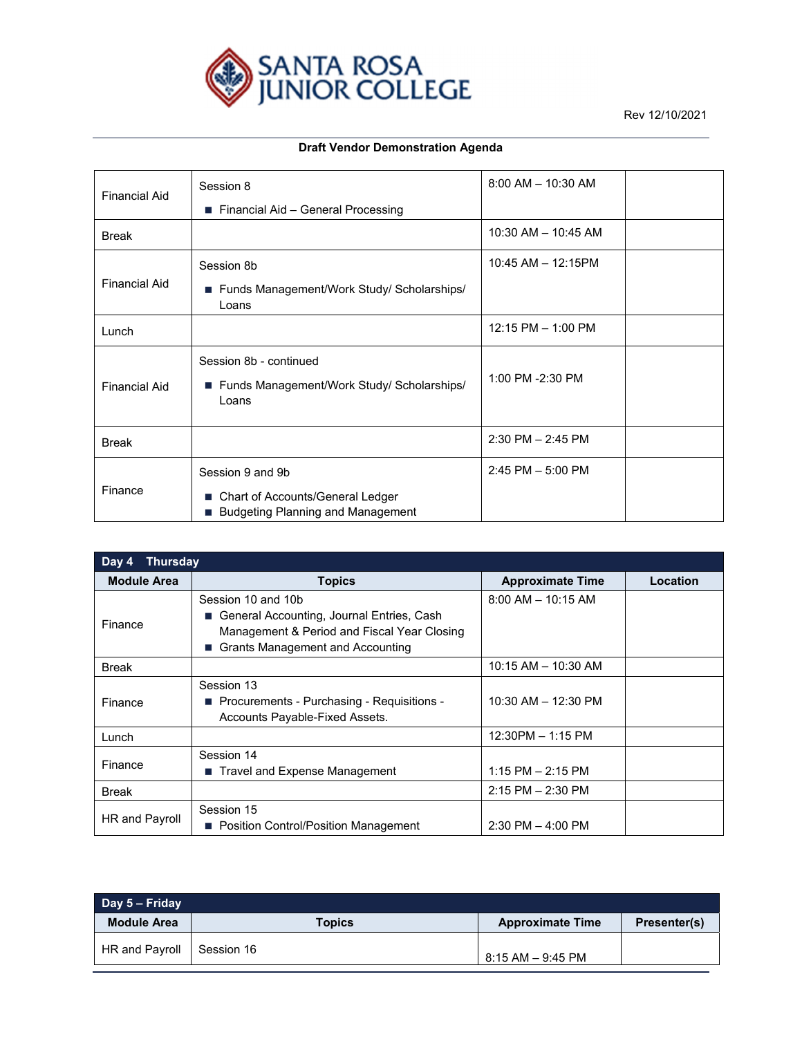

Rev 12/10/2021

### **Draft Vendor Demonstration Agenda**

| Financial Aid        | Session 8<br>Financial Aid - General Processing                                                              | $8:00$ AM $-$ 10:30 AM  |
|----------------------|--------------------------------------------------------------------------------------------------------------|-------------------------|
| <b>Break</b>         |                                                                                                              | $10:30$ AM $- 10:45$ AM |
| <b>Financial Aid</b> | Session 8b<br>■ Funds Management/Work Study/ Scholarships/<br>Loans                                          | $10:45$ AM $- 12:15$ PM |
| Lunch                |                                                                                                              | 12:15 PM - 1:00 PM      |
| <b>Financial Aid</b> | Session 8b - continued<br>■ Funds Management/Work Study/ Scholarships/<br>Loans                              | 1:00 PM -2:30 PM        |
| <b>Break</b>         |                                                                                                              | $2:30$ PM $- 2:45$ PM   |
| Finance              | Session 9 and 9b<br>Chart of Accounts/General Ledger<br><b>I</b><br><b>Budgeting Planning and Management</b> | $2:45$ PM $-5:00$ PM    |

| Thursday<br>Day 4  |                                              |                         |          |
|--------------------|----------------------------------------------|-------------------------|----------|
| <b>Module Area</b> | <b>Topics</b>                                | <b>Approximate Time</b> | Location |
|                    | Session 10 and 10b                           | $8:00$ AM $-$ 10:15 AM  |          |
| Finance            | ■ General Accounting, Journal Entries, Cash  |                         |          |
|                    | Management & Period and Fiscal Year Closing  |                         |          |
|                    | <b>Grants Management and Accounting</b>      |                         |          |
| <b>Break</b>       |                                              | $10:15$ AM $-$ 10:30 AM |          |
|                    | Session 13                                   |                         |          |
| Finance            | ■ Procurements - Purchasing - Requisitions - | $10:30$ AM $- 12:30$ PM |          |
|                    | Accounts Payable-Fixed Assets.               |                         |          |
| Lunch              |                                              | 12:30PM - 1:15 PM       |          |
| Finance            | Session 14                                   |                         |          |
|                    | ■ Travel and Expense Management              | $1:15$ PM $- 2:15$ PM   |          |
| <b>Break</b>       |                                              | $2:15$ PM $- 2:30$ PM   |          |
| HR and Payroll     | Session 15                                   |                         |          |
|                    | ■ Position Control/Position Management       | $2:30$ PM $-$ 4:00 PM   |          |

| Day 5 - Friday     |            |                         |                     |
|--------------------|------------|-------------------------|---------------------|
| <b>Module Area</b> | Topics     | <b>Approximate Time</b> | <b>Presenter(s)</b> |
| HR and Payroll     | Session 16 | $8:15$ AM $-$ 9:45 PM   |                     |